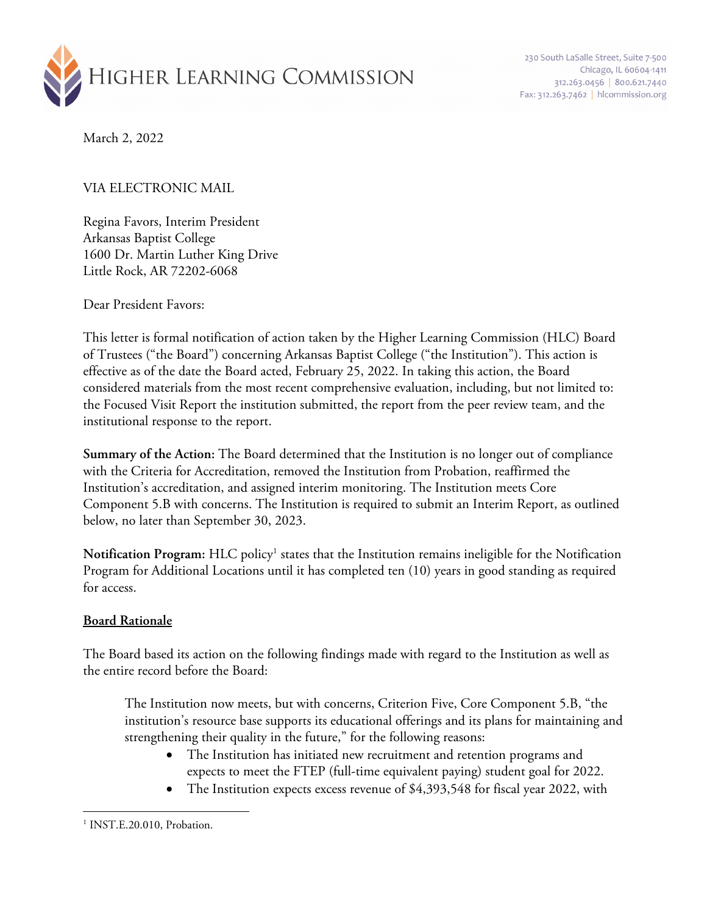

March 2, 2022

## VIA ELECTRONIC MAIL

Regina Favors, Interim President Arkansas Baptist College 1600 Dr. Martin Luther King Drive Little Rock, AR 72202-6068

Dear President Favors:

This letter is formal notification of action taken by the Higher Learning Commission (HLC) Board of Trustees ("the Board") concerning Arkansas Baptist College ("the Institution"). This action is effective as of the date the Board acted, February 25, 2022. In taking this action, the Board considered materials from the most recent comprehensive evaluation, including, but not limited to: the Focused Visit Report the institution submitted, the report from the peer review team, and the institutional response to the report.

**Summary of the Action:** The Board determined that the Institution is no longer out of compliance with the Criteria for Accreditation, removed the Institution from Probation, reaffirmed the Institution's accreditation, and assigned interim monitoring. The Institution meets Core Component 5.B with concerns. The Institution is required to submit an Interim Report, as outlined below, no later than September 30, 2023.

**Notification Program:** HLC policy1 states that the Institution remains ineligible for the Notification Program for Additional Locations until it has completed ten (10) years in good standing as required for access.

## **Board Rationale**

The Board based its action on the following findings made with regard to the Institution as well as the entire record before the Board:

The Institution now meets, but with concerns, Criterion Five, Core Component 5.B, "the institution's resource base supports its educational offerings and its plans for maintaining and strengthening their quality in the future," for the following reasons:

- The Institution has initiated new recruitment and retention programs and expects to meet the FTEP (full-time equivalent paying) student goal for 2022.
- The Institution expects excess revenue of \$4,393,548 for fiscal year 2022, with

<sup>&</sup>lt;sup>1</sup> INST.E.20.010, Probation.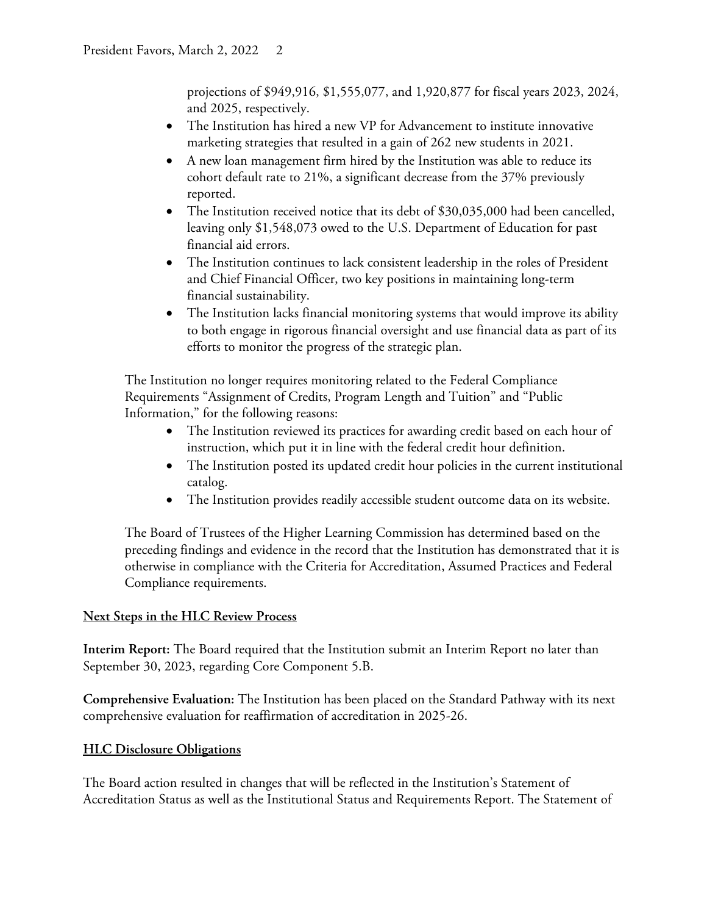projections of \$949,916, \$1,555,077, and 1,920,877 for fiscal years 2023, 2024, and 2025, respectively.

- The Institution has hired a new VP for Advancement to institute innovative marketing strategies that resulted in a gain of 262 new students in 2021.
- A new loan management firm hired by the Institution was able to reduce its cohort default rate to 21%, a significant decrease from the 37% previously reported.
- The Institution received notice that its debt of \$30,035,000 had been cancelled, leaving only \$1,548,073 owed to the U.S. Department of Education for past financial aid errors.
- The Institution continues to lack consistent leadership in the roles of President and Chief Financial Officer, two key positions in maintaining long-term financial sustainability.
- The Institution lacks financial monitoring systems that would improve its ability to both engage in rigorous financial oversight and use financial data as part of its efforts to monitor the progress of the strategic plan.

The Institution no longer requires monitoring related to the Federal Compliance Requirements "Assignment of Credits, Program Length and Tuition" and "Public Information," for the following reasons:

- The Institution reviewed its practices for awarding credit based on each hour of instruction, which put it in line with the federal credit hour definition.
- The Institution posted its updated credit hour policies in the current institutional catalog.
- The Institution provides readily accessible student outcome data on its website.

The Board of Trustees of the Higher Learning Commission has determined based on the preceding findings and evidence in the record that the Institution has demonstrated that it is otherwise in compliance with the Criteria for Accreditation, Assumed Practices and Federal Compliance requirements.

## **Next Steps in the HLC Review Process**

**Interim Report:** The Board required that the Institution submit an Interim Report no later than September 30, 2023, regarding Core Component 5.B.

**Comprehensive Evaluation:** The Institution has been placed on the Standard Pathway with its next comprehensive evaluation for reaffirmation of accreditation in 2025-26.

## **HLC Disclosure Obligations**

The Board action resulted in changes that will be reflected in the Institution's Statement of Accreditation Status as well as the Institutional Status and Requirements Report. The Statement of